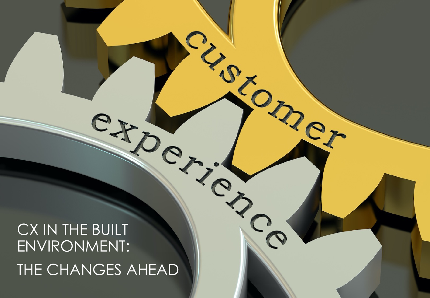# CX IN THE BUILT ENVIRONMENT: THE CHANGES AHEAD

 $\circ$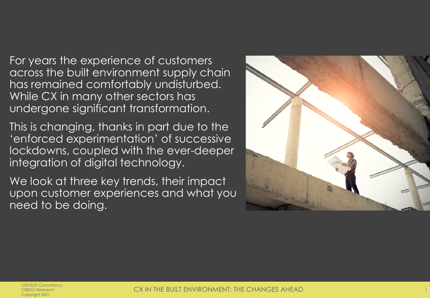For years the experience of customers across the built environment supply chain has remained comfortably undisturbed. While CX in many other sectors has undergone significant transformation.

This is changing, thanks in part due to the 'enforced experimentation' of successive lockdowns, coupled with the ever-deeper integration of digital technology.

We look at three key trends, their impact upon customer experiences and what you need to be doing.

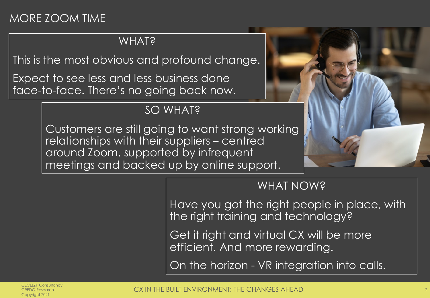# MORE ZOOM TIME

#### WHAT?

This is the most obvious and profound change.

Expect to see less and less business done face-to-face. There's no going back now.

# SO WHAT?

Customers are still going to want strong working relationships with their suppliers – centred around Zoom, supported by infrequent meetings and backed up by online support.



## WHAT NOW?

Have you got the right people in place, with the right training and technology?

Get it right and virtual CX will be more efficient. And more rewarding.

On the horizon - VR integration into calls.

CECELZY Consultancy CREDO Research Copyright 2021

CX IN THE BUILT ENVIRONMENT: THE CHANGES AHEAD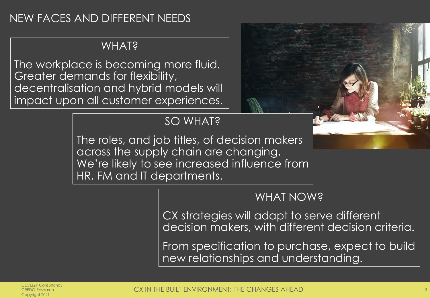## NEW FACES AND DIFFERENT NEEDS

#### **WHAT?**

The workplace is becoming more fluid. Greater demands for flexibility, decentralisation and hybrid models will impact upon all customer experiences.

# SO WHAT?

The roles, and job titles, of decision makers across the supply chain are changing. We're likely to see increased influence from HR, FM and IT departments.

#### WHAT NOW?

CX strategies will adapt to serve different decision makers, with different decision criteria.

From specification to purchase, expect to build new relationships and understanding.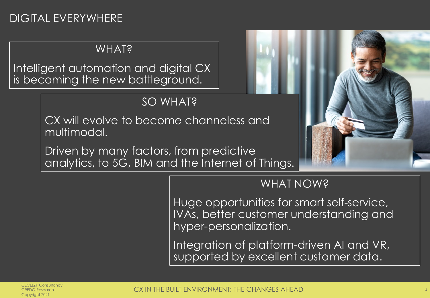# DIGITAL EVERYWHERE

## **WHAT?**

Intelligent automation and digital CX is becoming the new battleground.

# SO WHAT?

CX will evolve to become channeless and multimodal.

Driven by many factors, from predictive analytics, to 5G, BIM and the Internet of Things.



## WHAT NOW?

Huge opportunities for smart self-service, IVAs, better customer understanding and hyper-personalization.

Integration of platform-driven AI and VR, supported by excellent customer data.